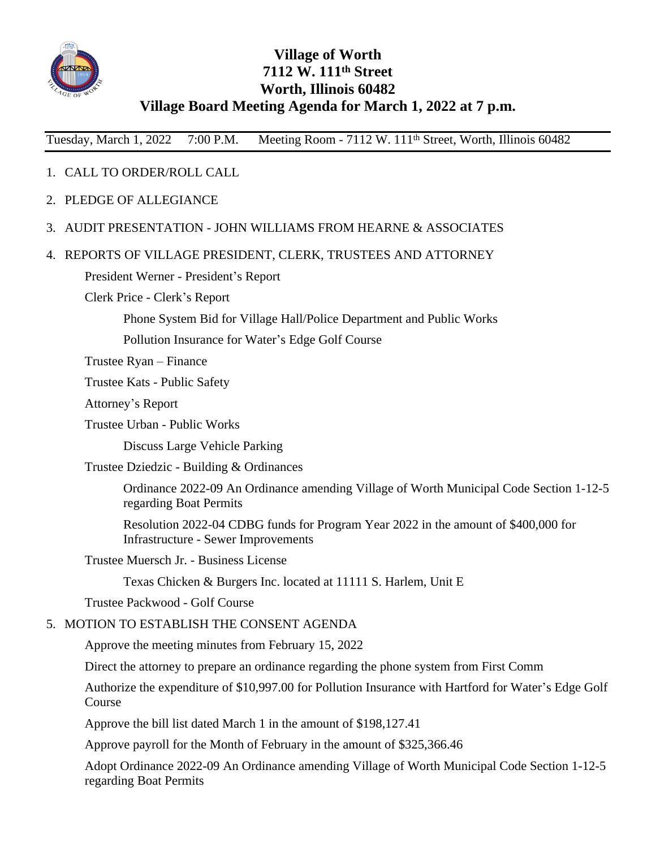

## **Village of Worth 7112 W. 111th Street Worth, Illinois 60482 Village Board Meeting Agenda for March 1, 2022 at 7 p.m.**

Tuesday, March 1, 2022 7:00 P.M. Meeting Room - 7112 W. 111<sup>th</sup> Street, Worth, Illinois 60482

## 1. CALL TO ORDER/ROLL CALL

- 2. PLEDGE OF ALLEGIANCE
- 3. AUDIT PRESENTATION JOHN WILLIAMS FROM HEARNE & ASSOCIATES
- 4. REPORTS OF VILLAGE PRESIDENT, CLERK, TRUSTEES AND ATTORNEY

President Werner - President's Report

Clerk Price - Clerk's Report

Phone System Bid for Village Hall/Police Department and Public Works

Pollution Insurance for Water's Edge Golf Course

Trustee Ryan – Finance

Trustee Kats - Public Safety

Attorney's Report

Trustee Urban - Public Works

Discuss Large Vehicle Parking

Trustee Dziedzic - Building & Ordinances

Ordinance 2022-09 An Ordinance amending Village of Worth Municipal Code Section 1-12-5 regarding Boat Permits

Resolution 2022-04 CDBG funds for Program Year 2022 in the amount of \$400,000 for Infrastructure - Sewer Improvements

Trustee Muersch Jr. - Business License

Texas Chicken & Burgers Inc. located at 11111 S. Harlem, Unit E

Trustee Packwood - Golf Course

## 5. MOTION TO ESTABLISH THE CONSENT AGENDA

Approve the meeting minutes from February 15, 2022

Direct the attorney to prepare an ordinance regarding the phone system from First Comm

Authorize the expenditure of \$10,997.00 for Pollution Insurance with Hartford for Water's Edge Golf Course

Approve the bill list dated March 1 in the amount of \$198,127.41

Approve payroll for the Month of February in the amount of \$325,366.46

Adopt Ordinance 2022-09 An Ordinance amending Village of Worth Municipal Code Section 1-12-5 regarding Boat Permits